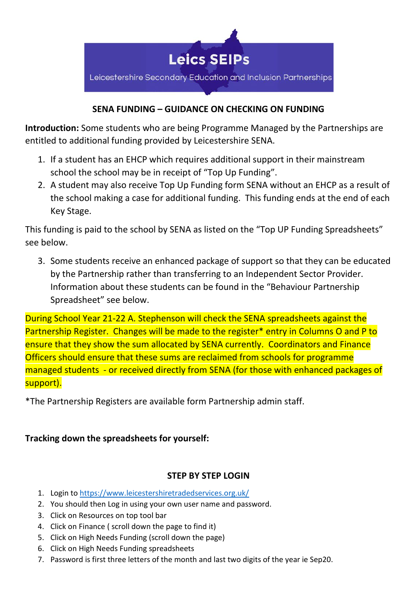

# **SENA FUNDING – GUIDANCE ON CHECKING ON FUNDING**

**Introduction:** Some students who are being Programme Managed by the Partnerships are entitled to additional funding provided by Leicestershire SENA.

- 1. If a student has an EHCP which requires additional support in their mainstream school the school may be in receipt of "Top Up Funding".
- 2. A student may also receive Top Up Funding form SENA without an EHCP as a result of the school making a case for additional funding. This funding ends at the end of each Key Stage.

This funding is paid to the school by SENA as listed on the "Top UP Funding Spreadsheets" see below.

3. Some students receive an enhanced package of support so that they can be educated by the Partnership rather than transferring to an Independent Sector Provider. Information about these students can be found in the "Behaviour Partnership Spreadsheet" see below.

During School Year 21-22 A. Stephenson will check the SENA spreadsheets against the Partnership Register. Changes will be made to the register\* entry in Columns O and P to ensure that they show the sum allocated by SENA currently. Coordinators and Finance Officers should ensure that these sums are reclaimed from schools for programme managed students - or received directly from SENA (for those with enhanced packages of support).

\*The Partnership Registers are available form Partnership admin staff.

# **Tracking down the spreadsheets for yourself:**

# **STEP BY STEP LOGIN**

- 1. Login to<https://www.leicestershiretradedservices.org.uk/>
- 2. You should then Log in using your own user name and password.
- 3. Click on Resources on top tool bar
- 4. Click on Finance ( scroll down the page to find it)
- 5. Click on High Needs Funding (scroll down the page)
- 6. Click on High Needs Funding spreadsheets
- 7. Password is first three letters of the month and last two digits of the year ie Sep20.